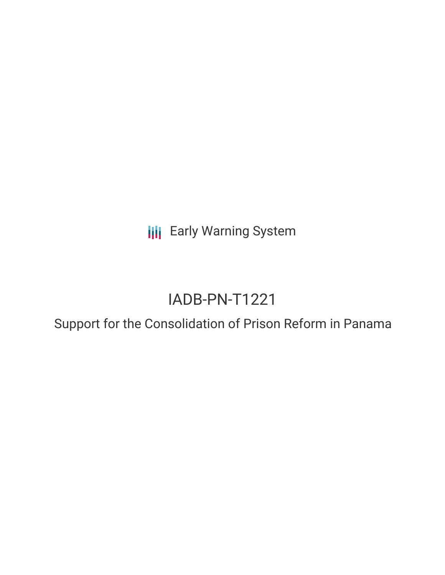**III** Early Warning System

# IADB-PN-T1221

Support for the Consolidation of Prison Reform in Panama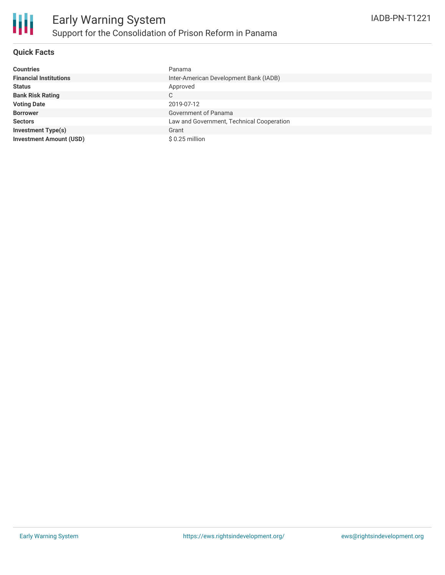

# **Quick Facts**

| <b>Countries</b>               | Panama                                    |
|--------------------------------|-------------------------------------------|
| <b>Financial Institutions</b>  | Inter-American Development Bank (IADB)    |
| <b>Status</b>                  | Approved                                  |
| <b>Bank Risk Rating</b>        | C                                         |
| <b>Voting Date</b>             | 2019-07-12                                |
| <b>Borrower</b>                | Government of Panama                      |
| <b>Sectors</b>                 | Law and Government, Technical Cooperation |
| <b>Investment Type(s)</b>      | Grant                                     |
| <b>Investment Amount (USD)</b> | $$0.25$ million                           |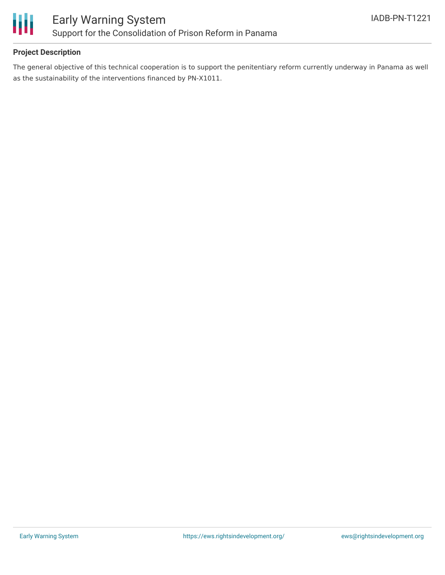

# **Project Description**

The general objective of this technical cooperation is to support the penitentiary reform currently underway in Panama as well as the sustainability of the interventions financed by PN-X1011.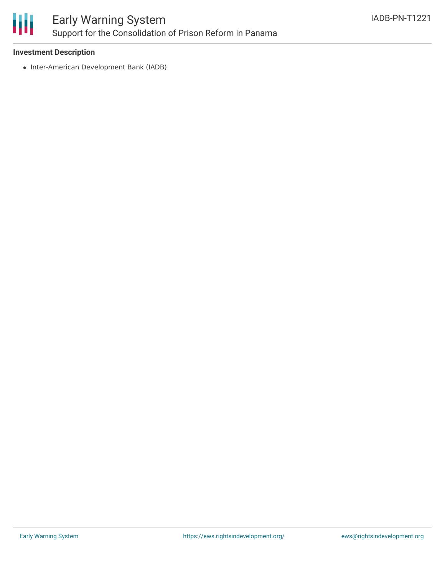

# **Investment Description**

• Inter-American Development Bank (IADB)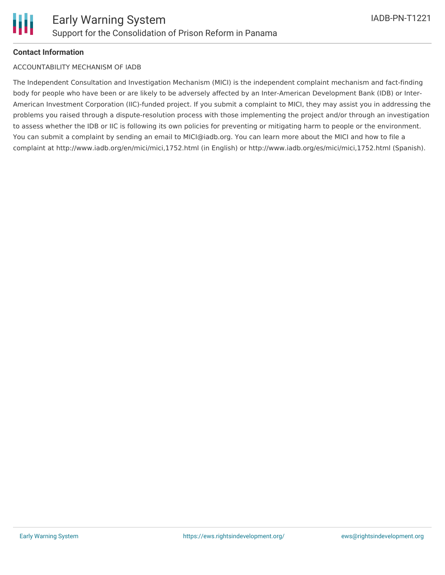

# **Contact Information**

#### ACCOUNTABILITY MECHANISM OF IADB

The Independent Consultation and Investigation Mechanism (MICI) is the independent complaint mechanism and fact-finding body for people who have been or are likely to be adversely affected by an Inter-American Development Bank (IDB) or Inter-American Investment Corporation (IIC)-funded project. If you submit a complaint to MICI, they may assist you in addressing the problems you raised through a dispute-resolution process with those implementing the project and/or through an investigation to assess whether the IDB or IIC is following its own policies for preventing or mitigating harm to people or the environment. You can submit a complaint by sending an email to MICI@iadb.org. You can learn more about the MICI and how to file a complaint at http://www.iadb.org/en/mici/mici,1752.html (in English) or http://www.iadb.org/es/mici/mici,1752.html (Spanish).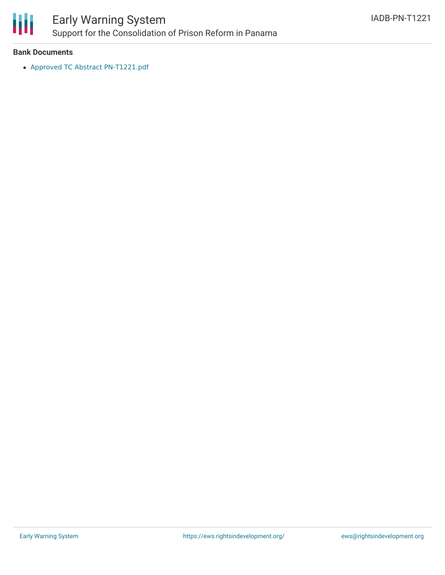

# Early Warning System Support for the Consolidation of Prison Reform in Panama

#### **Bank Documents**

Approved TC Abstract [PN-T1221.pdf](https://www.iadb.org/Document.cfm?id=EZSHARE-403505163-4)